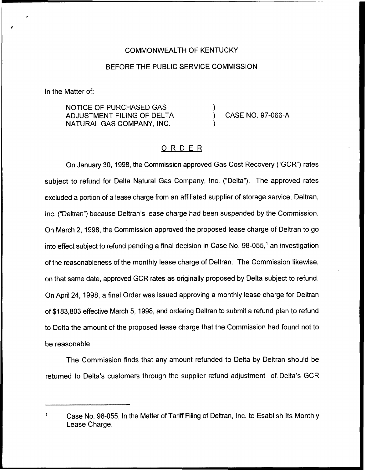## COMMONWEALTH OF KENTUCKY

## BEFORE THE PUBLIC SERVICE COMMISSION

In the Matter of:

NOTICE OF PURCHASED GAS ADJUSTMENT FILING OF DELTA NATURAL GAS COMPANY, INC.

) CASE NO. 97-066-A

## ORDER

)

)

On January 30, 1998, the Commission approved Gas Cost Recovery ("GCR") rates subject to refund for Delta Natural Gas Company, Inc. ("Delta"). The approved rates excluded a portion of a lease charge from an affiliated supplier of storage service, Deltran, Inc. ("Deltran") because Deltran's lease charge had been suspended by the Commission. On March 2, 1998, the Commission approved the proposed lease charge of Deltran to go into effect subject to refund pending a final decision in Case No.  $98-055$ ,<sup>1</sup> an investigation of the reasonableness of the monthly lease charge of Deltran. The Commission likewise, on that same date, approved GCR rates as originally proposed by Delta subject to refund. On April 24, 1998, a final Order was issued approving a monthly lease charge for Deltran of \$183,803effective March 5, 1998, and ordering Deltran to submit a refund plan to refund to Delta the amount of the proposed lease charge that the Commission had found not to be reasonable.

The Commission finds that any amount refunded to Delta by Deltran should be returned to Delta's customers through the supplier refund adjustment of Delta's GCR

 $\mathbf{1}$ Case No. 98-055, In the Matter of Tariff Filing of Deltran, Inc. to Esablish Its Monthly Lease Charge.